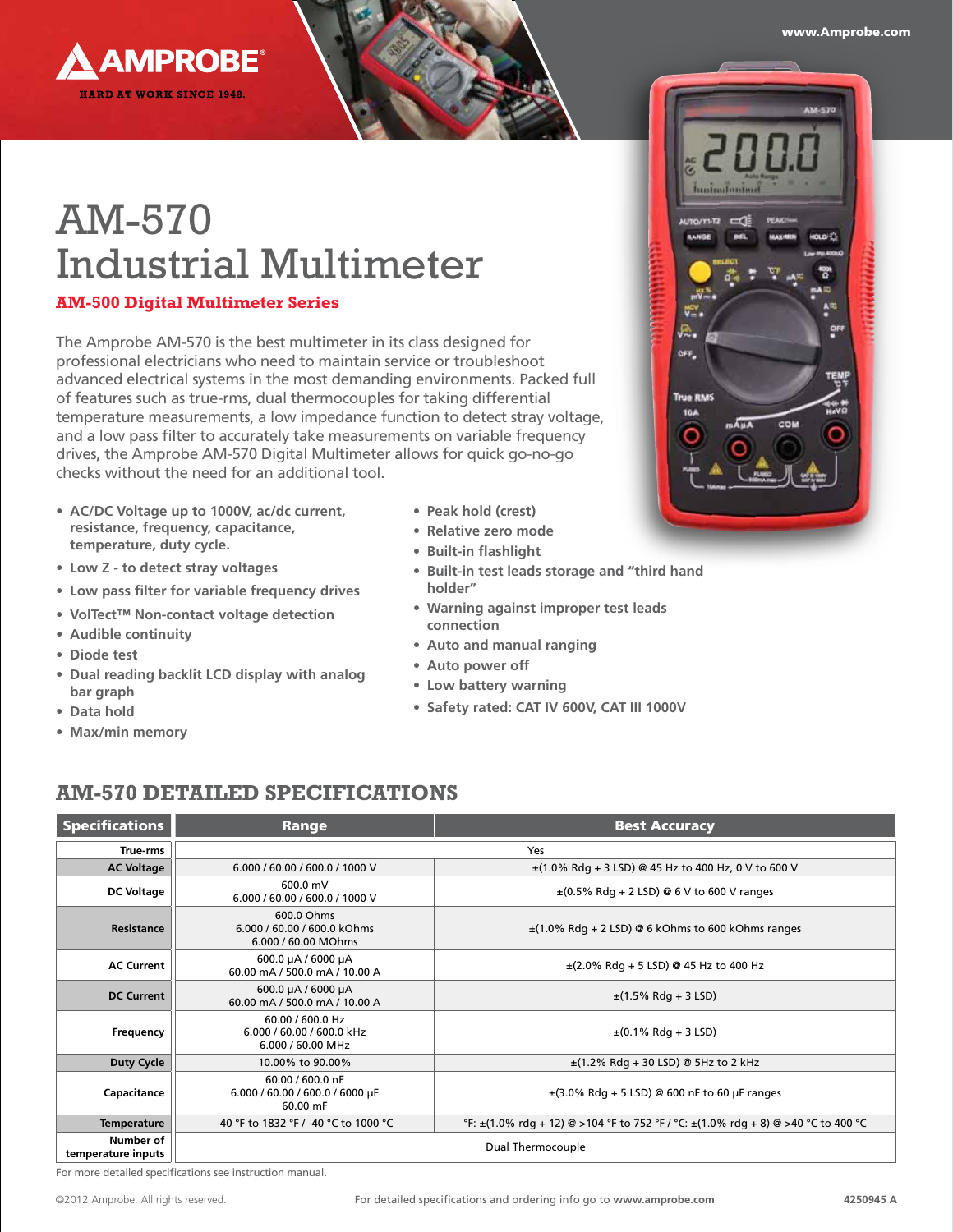www.Amprobe.com



# AM-570 Industrial Multimeter

#### **AM-500 Digital Multimeter Series**

The Amprobe AM-570 is the best multimeter in its class designed for professional electricians who need to maintain service or troubleshoot advanced electrical systems in the most demanding environments. Packed full of features such as true-rms, dual thermocouples for taking differential temperature measurements, a low impedance function to detect stray voltage, and a low pass filter to accurately take measurements on variable frequency drives, the Amprobe AM-570 Digital Multimeter allows for quick go-no-go checks without the need for an additional tool.

- **• AC/DC Voltage up to 1000V, ac/dc current, resistance, frequency, capacitance, temperature, duty cycle.**
- **• Low Z - to detect stray voltages**
- **• Low pass filter for variable frequency drives**
- **• VolTect™ Non-contact voltage detection**
- **• Audible continuity**
- **• Diode test**
- **• Dual reading backlit LCD display with analog bar graph**
- **• Data hold**
- **• Max/min memory**
- **• Peak hold (crest)**
- **• Relative zero mode**
- **• Built-in flashlight**
- **• Built-in test leads storage and "third hand holder"**
- **• Warning against improper test leads connection**
- **• Auto and manual ranging**
- **• Auto power off**
- **• Low battery warning**
- **• Safety rated: CAT IV 600V, CAT III 1000V**

# **AM-570 Detailed Specifications**

| <b>Specifications</b>           | Range                                                                                      | <b>Best Accuracy</b>                                                                          |  |  |  |  |
|---------------------------------|--------------------------------------------------------------------------------------------|-----------------------------------------------------------------------------------------------|--|--|--|--|
| True-rms                        | Yes                                                                                        |                                                                                               |  |  |  |  |
| <b>AC Voltage</b>               | 6.000 / 60.00 / 600.0 / 1000 V<br>$\pm$ (1.0% Rdg + 3 LSD) @ 45 Hz to 400 Hz, 0 V to 600 V |                                                                                               |  |  |  |  |
| <b>DC Voltage</b>               | 600.0 mV<br>6.000 / 60.00 / 600.0 / 1000 V                                                 | $\pm$ (0.5% Rdg + 2 LSD) @ 6 V to 600 V ranges                                                |  |  |  |  |
| Resistance                      | 600.0 Ohms<br>6.000 / 60.00 / 600.0 kOhms<br>6.000 / 60.00 MOhms                           | $\pm$ (1.0% Rdg + 2 LSD) @ 6 kOhms to 600 kOhms ranges                                        |  |  |  |  |
| <b>AC Current</b>               | 600.0 µA / 6000 µA<br>60.00 mA / 500.0 mA / 10.00 A                                        | $\pm$ (2.0% Rdg + 5 LSD) @ 45 Hz to 400 Hz                                                    |  |  |  |  |
| <b>DC Current</b>               | 600.0 µA / 6000 µA<br>60.00 mA / 500.0 mA / 10.00 A                                        | $\pm$ (1.5% Rdg + 3 LSD)                                                                      |  |  |  |  |
| Frequency                       | 60.00 / 600.0 Hz<br>6.000 / 60.00 / 600.0 kHz<br>6.000 / 60.00 MHz                         | $\pm$ (0.1% Rdg + 3 LSD)                                                                      |  |  |  |  |
| <b>Duty Cycle</b>               | 10.00% to 90.00%                                                                           | $\pm$ (1.2% Rdg + 30 LSD) @ 5Hz to 2 kHz                                                      |  |  |  |  |
| Capacitance                     | 60.00 / 600.0 nF<br>6.000 / 60.00 / 600.0 / 6000 µF<br>60.00 mF                            | $\pm$ (3.0% Rdg + 5 LSD) @ 600 nF to 60 µF ranges                                             |  |  |  |  |
| <b>Temperature</b>              | -40 °F to 1832 °F / -40 °C to 1000 °C                                                      | °F: $\pm$ (1.0% rdq + 12) @ > 104 °F to 752 °F / °C: $\pm$ (1.0% rdq + 8) @ > 40 °C to 400 °C |  |  |  |  |
| Number of<br>temperature inputs | Dual Thermocouple                                                                          |                                                                                               |  |  |  |  |

For more detailed specifications see instruction manual.